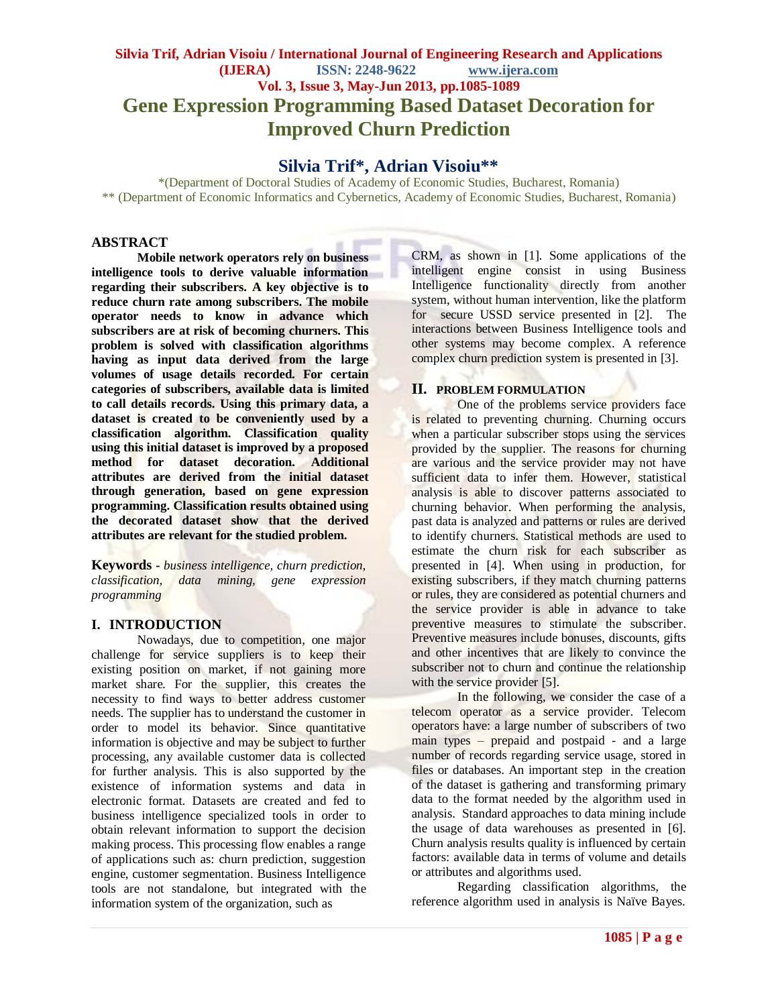## **Silvia Trif, Adrian Visoiu / International Journal of Engineering Research and Applications (IJERA) ISSN: 2248-9622 www.ijera.com Vol. 3, Issue 3, May-Jun 2013, pp.1085-1089 Gene Expression Programming Based Dataset Decoration for Improved Churn Prediction**

## **Silvia Trif\*, Adrian Visoiu\*\***

\*(Department of Doctoral Studies of Academy of Economic Studies, Bucharest, Romania) \*\* (Department of Economic Informatics and Cybernetics, Academy of Economic Studies, Bucharest, Romania)

#### **ABSTRACT**

**Mobile network operators rely on business intelligence tools to derive valuable information regarding their subscribers. A key objective is to reduce churn rate among subscribers. The mobile operator needs to know in advance which subscribers are at risk of becoming churners. This problem is solved with classification algorithms having as input data derived from the large volumes of usage details recorded. For certain categories of subscribers, available data is limited to call details records. Using this primary data, a dataset is created to be conveniently used by a classification algorithm. Classification quality using this initial dataset is improved by a proposed method for dataset decoration. Additional attributes are derived from the initial dataset through generation, based on gene expression programming. Classification results obtained using the decorated dataset show that the derived attributes are relevant for the studied problem.** 

**Keywords -** *business intelligence, churn prediction, classification, data mining, gene expression programming*

#### **I. INTRODUCTION**

Nowadays, due to competition, one major challenge for service suppliers is to keep their existing position on market, if not gaining more market share. For the supplier, this creates the necessity to find ways to better address customer needs. The supplier has to understand the customer in order to model its behavior. Since quantitative information is objective and may be subject to further processing, any available customer data is collected for further analysis. This is also supported by the existence of information systems and data in electronic format. Datasets are created and fed to business intelligence specialized tools in order to obtain relevant information to support the decision making process. This processing flow enables a range of applications such as: churn prediction, suggestion engine, customer segmentation. Business Intelligence tools are not standalone, but integrated with the information system of the organization, such as

CRM, as shown in [1]. Some applications of the intelligent engine consist in using Business Intelligence functionality directly from another system, without human intervention, like the platform for secure USSD service presented in [2]. The interactions between Business Intelligence tools and other systems may become complex. A reference complex churn prediction system is presented in [3].

#### **II. PROBLEM FORMULATION**

One of the problems service providers face is related to preventing churning. Churning occurs when a particular subscriber stops using the services provided by the supplier. The reasons for churning are various and the service provider may not have sufficient data to infer them. However, statistical analysis is able to discover patterns associated to churning behavior. When performing the analysis, past data is analyzed and patterns or rules are derived to identify churners. Statistical methods are used to estimate the churn risk for each subscriber as presented in [4]. When using in production, for existing subscribers, if they match churning patterns or rules, they are considered as potential churners and the service provider is able in advance to take preventive measures to stimulate the subscriber. Preventive measures include bonuses, discounts, gifts and other incentives that are likely to convince the subscriber not to churn and continue the relationship with the service provider [5].

In the following, we consider the case of a telecom operator as a service provider. Telecom operators have: a large number of subscribers of two main types – prepaid and postpaid - and a large number of records regarding service usage, stored in files or databases. An important step in the creation of the dataset is gathering and transforming primary data to the format needed by the algorithm used in analysis. Standard approaches to data mining include the usage of data warehouses as presented in [6]. Churn analysis results quality is influenced by certain factors: available data in terms of volume and details or attributes and algorithms used.

Regarding classification algorithms, the reference algorithm used in analysis is Naïve Bayes.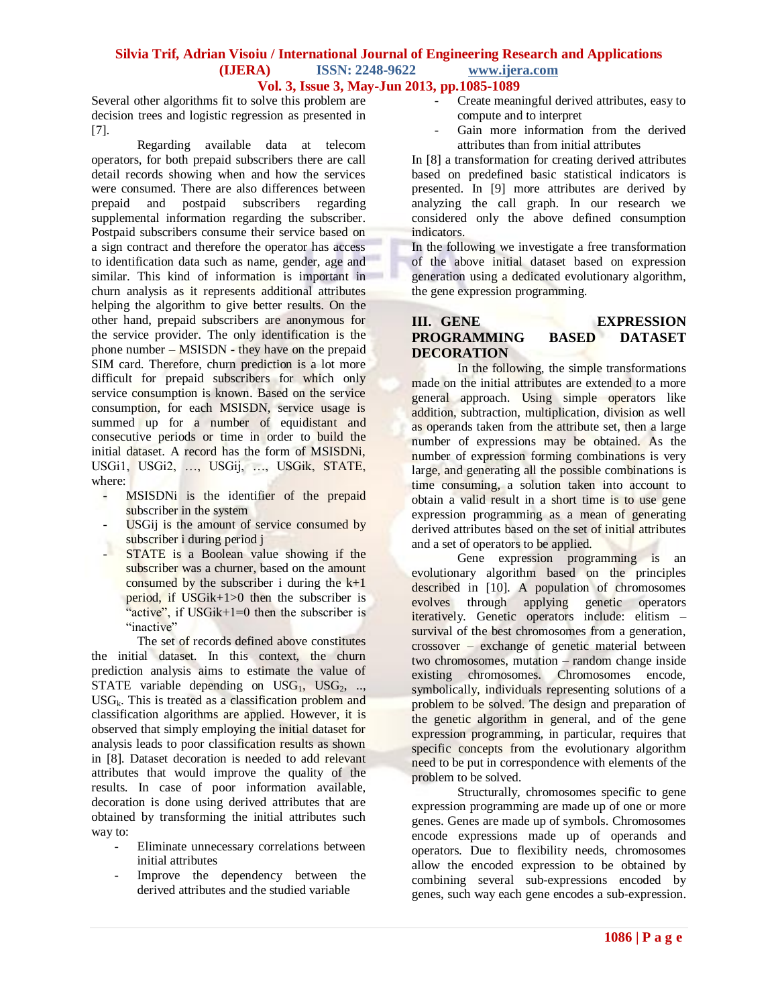#### **Silvia Trif, Adrian Visoiu / International Journal of Engineering Research and Applications (IJERA) ISSN: 2248-9622 www.ijera.com Vol. 3, Issue 3, May-Jun 2013, pp.1085-1089**

Several other algorithms fit to solve this problem are decision trees and logistic regression as presented in [7].

Regarding available data at telecom operators, for both prepaid subscribers there are call detail records showing when and how the services were consumed. There are also differences between prepaid and postpaid subscribers regarding supplemental information regarding the subscriber. Postpaid subscribers consume their service based on a sign contract and therefore the operator has access to identification data such as name, gender, age and similar. This kind of information is important in churn analysis as it represents additional attributes helping the algorithm to give better results. On the other hand, prepaid subscribers are anonymous for the service provider. The only identification is the phone number – MSISDN - they have on the prepaid SIM card. Therefore, churn prediction is a lot more difficult for prepaid subscribers for which only service consumption is known. Based on the service consumption, for each MSISDN, service usage is summed up for a number of equidistant and consecutive periods or time in order to build the initial dataset. A record has the form of MSISDNi, USGi1, USGi2, …, USGij, …, USGik, STATE, where:

- MSISDNi is the identifier of the prepaid subscriber in the system
- USGij is the amount of service consumed by subscriber i during period j
- STATE is a Boolean value showing if the subscriber was a churner, based on the amount consumed by the subscriber i during the  $k+1$ period, if USGik+1>0 then the subscriber is "active", if USGik+1=0 then the subscriber is "inactive"

The set of records defined above constitutes the initial dataset. In this context, the churn prediction analysis aims to estimate the value of STATE variable depending on  $USG_1$ ,  $USG_2$ , ..,  $USG_k$ . This is treated as a classification problem and classification algorithms are applied. However, it is observed that simply employing the initial dataset for analysis leads to poor classification results as shown in [8]. Dataset decoration is needed to add relevant attributes that would improve the quality of the results. In case of poor information available, decoration is done using derived attributes that are obtained by transforming the initial attributes such way to:

- Eliminate unnecessary correlations between initial attributes
- Improve the dependency between the derived attributes and the studied variable
- Create meaningful derived attributes, easy to compute and to interpret
- Gain more information from the derived attributes than from initial attributes

In [8] a transformation for creating derived attributes based on predefined basic statistical indicators is presented. In [9] more attributes are derived by analyzing the call graph. In our research we considered only the above defined consumption indicators.

In the following we investigate a free transformation of the above initial dataset based on expression generation using a dedicated evolutionary algorithm, the gene expression programming.

### **III. GENE EXPRESSION PROGRAMMING BASED DATASET DECORATION**

In the following, the simple transformations made on the initial attributes are extended to a more general approach. Using simple operators like addition, subtraction, multiplication, division as well as operands taken from the attribute set, then a large number of expressions may be obtained. As the number of expression forming combinations is very large, and generating all the possible combinations is time consuming, a solution taken into account to obtain a valid result in a short time is to use gene expression programming as a mean of generating derived attributes based on the set of initial attributes and a set of operators to be applied.

Gene expression programming is an evolutionary algorithm based on the principles described in [10]. A population of chromosomes evolves through applying genetic operators iteratively. Genetic operators include: elitism – survival of the best chromosomes from a generation, crossover – exchange of genetic material between two chromosomes, mutation – random change inside existing chromosomes. Chromosomes encode, symbolically, individuals representing solutions of a problem to be solved. The design and preparation of the genetic algorithm in general, and of the gene expression programming, in particular, requires that specific concepts from the evolutionary algorithm need to be put in correspondence with elements of the problem to be solved.

Structurally, chromosomes specific to gene expression programming are made up of one or more genes. Genes are made up of symbols. Chromosomes encode expressions made up of operands and operators. Due to flexibility needs, chromosomes allow the encoded expression to be obtained by combining several sub-expressions encoded by genes, such way each gene encodes a sub-expression.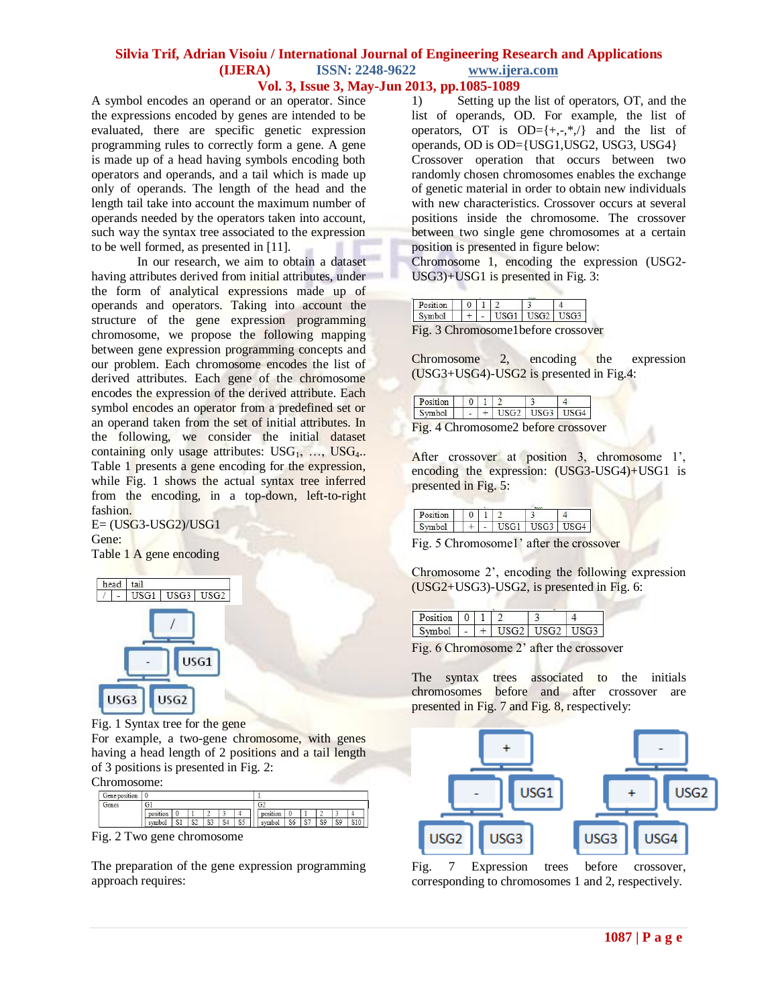#### **Silvia Trif, Adrian Visoiu / International Journal of Engineering Research and Applications (IJERA) ISSN: 2248-9622 www.ijera.com Vol. 3, Issue 3, May-Jun 2013, pp.1085-1089**

A symbol encodes an operand or an operator. Since the expressions encoded by genes are intended to be evaluated, there are specific genetic expression programming rules to correctly form a gene. A gene is made up of a head having symbols encoding both operators and operands, and a tail which is made up only of operands. The length of the head and the length tail take into account the maximum number of operands needed by the operators taken into account, such way the syntax tree associated to the expression to be well formed, as presented in [11].

In our research, we aim to obtain a dataset having attributes derived from initial attributes, under the form of analytical expressions made up of operands and operators. Taking into account the structure of the gene expression programming chromosome, we propose the following mapping between gene expression programming concepts and our problem. Each chromosome encodes the list of derived attributes. Each gene of the chromosome encodes the expression of the derived attribute. Each symbol encodes an operator from a predefined set or an operand taken from the set of initial attributes. In the following, we consider the initial dataset containing only usage attributes:  $USG_1, \ldots, \text{USG}_4$ .. Table 1 presents a gene encoding for the expression, while Fig. 1 shows the actual syntax tree inferred from the encoding, in a top-down, left-to-right fashion.

E= (USG3-USG2)/USG1 Gene:

Table 1 A gene encoding



Fig. 1 Syntax tree for the gene

For example, a two-gene chromosome, with genes having a head length of 2 positions and a tail length of 3 positions is presented in Fig. 2:

Chromosome:

| Gene position |          |              |                      |                  |      |              |                |           |                |    |                |                     |
|---------------|----------|--------------|----------------------|------------------|------|--------------|----------------|-----------|----------------|----|----------------|---------------------|
| Genes         | G1       |              |                      |                  |      |              | G <sub>2</sub> |           |                |    |                |                     |
|               | position | υ            |                      | ÷                |      |              | position       |           |                | -  | ٠              |                     |
|               | symbol   | $\sim$<br>31 | $\mathbb{C}^n$<br>54 | <b>CLO</b><br>92 | .com | $\sim$<br>5. | symbol         | - -<br>οU | C-T<br>$\circ$ | S9 | S <sub>9</sub> | $\sim$ $\sim$<br>13 |

Fig. 2 Two gene chromosome

The preparation of the gene expression programming approach requires:

1) Setting up the list of operators, OT, and the list of operands, OD. For example, the list of operators, OT is  $OD=\{+, -, *, /\}$  and the list of operands, OD is OD={USG1,USG2, USG3, USG4} Crossover operation that occurs between two randomly chosen chromosomes enables the exchange of genetic material in order to obtain new individuals with new characteristics. Crossover occurs at several positions inside the chromosome. The crossover between two single gene chromosomes at a certain position is presented in figure below:

Chromosome 1, encoding the expression (USG2- USG3)+USG1 is presented in Fig. 3:

| Position |  |                 |  |
|----------|--|-----------------|--|
| Symbol   |  | $USG1$   $USG2$ |  |

Chromosome 2, encoding the expression (USG3+USG4)-USG2 is presented in Fig.4:

| Position $\vert \vert 0 \vert 1 \vert 2$ |  |  |                                        |
|------------------------------------------|--|--|----------------------------------------|
| Symbol                                   |  |  | $\vert - \vert + \vert$ USG2 USG3 USG4 |

After crossover at position 3, chromosome 1', encoding the expression: (USG3-USG4)+USG1 is presented in Fig. 5:

| ion |  |      |       |  |
|-----|--|------|-------|--|
| mhd |  | TCC1 | 10722 |  |

Fig. 5 Chromosome1' after the crossover

Chromosome 2', encoding the following expression (USG2+USG3)-USG2, is presented in Fig. 6:

| Position |  |        |          |  |
|----------|--|--------|----------|--|
| vmhol    |  | $\sim$ | $TCCD$ 1 |  |

Fig. 6 Chromosome 2' after the crossover

The syntax trees associated to the initials chromosomes before and after crossover are presented in Fig. 7 and Fig. 8, respectively:



Fig. 7 Expression trees before crossover, corresponding to chromosomes 1 and 2, respectively.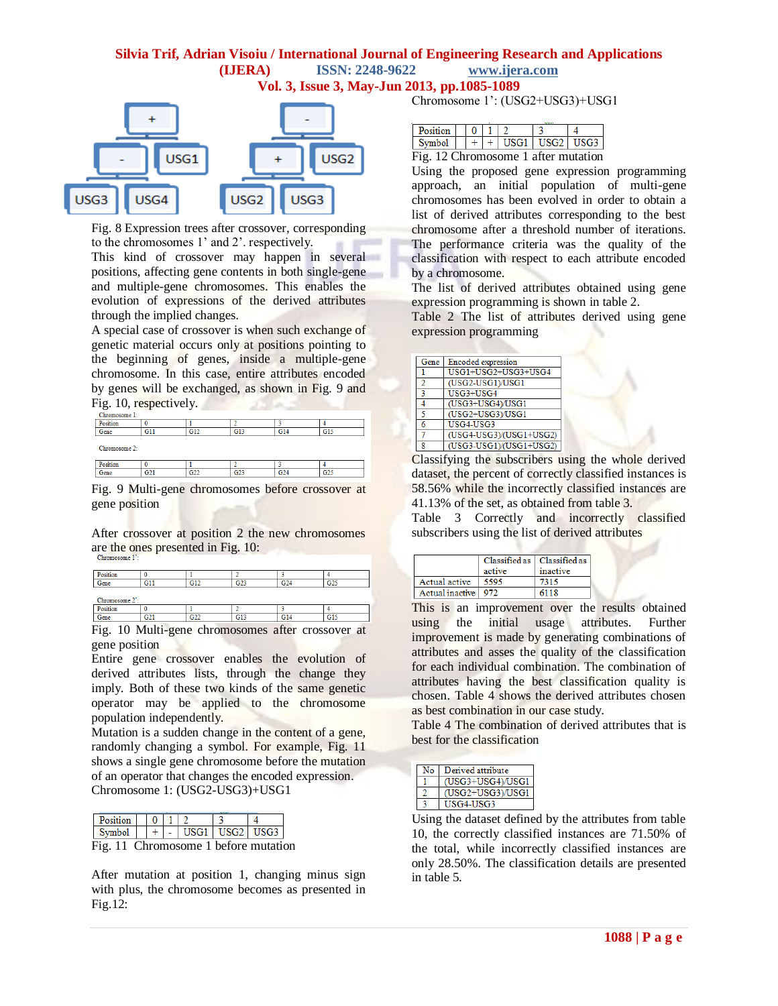# **Silvia Trif, Adrian Visoiu / International Journal of Engineering Research and Applications (IJERA) ISSN: 2248-9622 www.ijera.com**

**Vol. 3, Issue 3, May-Jun 2013, pp.1085-1089**



Fig. 8 Expression trees after crossover, corresponding to the chromosomes 1' and 2'. respectively.

This kind of crossover may happen in several positions, affecting gene contents in both single-gene and multiple-gene chromosomes. This enables the evolution of expressions of the derived attributes through the implied changes.

A special case of crossover is when such exchange of genetic material occurs only at positions pointing to the beginning of genes, inside a multiple-gene chromosome. In this case, entire attributes encoded by genes will be exchanged, as shown in Fig. 9 and Fig. 10, respectively.

| Chromosome 1: |                 |     |                 |                 |                 |  |
|---------------|-----------------|-----|-----------------|-----------------|-----------------|--|
| Position      |                 |     |                 |                 |                 |  |
| Gene          | G11             | G12 | G13             | G14             | G15             |  |
| Chromosome 2: |                 |     |                 |                 |                 |  |
| Position      |                 |     |                 |                 |                 |  |
| Gene          | G <sub>21</sub> | G22 | G <sub>23</sub> | G <sub>24</sub> | G <sub>25</sub> |  |

Fig. 9 Multi-gene chromosomes before crossover at gene position

After crossover at position 2 the new chromosomes are the ones presented in Fig. 10:

| Position       |     |               |                 |                 |                 |
|----------------|-----|---------------|-----------------|-----------------|-----------------|
| Gene           | G11 | G12           | G <sub>23</sub> | G <sub>24</sub> | G <sub>25</sub> |
|                |     |               |                 |                 |                 |
| Chromosome 2': |     |               |                 |                 |                 |
| Position       |     |               |                 |                 |                 |
| Gene           | G21 | $\sim$<br>uzz | G13             | G14             | G15             |

Fig. 10 Multi-gene chromosomes after crossover at gene position

Entire gene crossover enables the evolution of derived attributes lists, through the change they imply. Both of these two kinds of the same genetic operator may be applied to the chromosome population independently.

Mutation is a sudden change in the content of a gene, randomly changing a symbol. For example, Fig. 11 shows a single gene chromosome before the mutation of an operator that changes the encoded expression. Chromosome 1: (USG2-USG3)+USG1

| Position                             |  |  |                            |  |
|--------------------------------------|--|--|----------------------------|--|
| Symbol                               |  |  | +   -   USG1   USG2   USG3 |  |
| Fig. 11 Chromosome 1 before mutation |  |  |                            |  |

After mutation at position 1, changing minus sign with plus, the chromosome becomes as presented in Fig.12:

Chromosome 1': (USG2+USG3)+USG1

| Position |  |           |               |      |
|----------|--|-----------|---------------|------|
| Symbol   |  | 'ISG1   \ | $\text{USG2}$ | USG3 |

Fig. 12 Chromosome 1 after mutation

Using the proposed gene expression programming approach, an initial population of multi-gene chromosomes has been evolved in order to obtain a list of derived attributes corresponding to the best chromosome after a threshold number of iterations. The performance criteria was the quality of the classification with respect to each attribute encoded by a chromosome.

The list of derived attributes obtained using gene expression programming is shown in table 2.

Table 2 The list of attributes derived using gene expression programming

| Gene | <b>Encoded</b> expression |
|------|---------------------------|
|      | USG1+USG2+USG3+USG4       |
| o    | (USG2-USG1)/USG1          |
| З    | USG3+USG4                 |
|      | (USG3+USG4)/USG1          |
|      | (USG2+USG3)/USG1          |
| 6    | USG4-USG3                 |
|      | (USG4-USG3)/(USG1+USG2)   |
| 8    | (USG3-USG1)/(USG1+USG2)   |

Classifying the subscribers using the whole derived dataset, the percent of correctly classified instances is 58.56% while the incorrectly classified instances are 41.13% of the set, as obtained from table 3.

Table 3 Correctly and incorrectly classified subscribers using the list of derived attributes

|                       |        | Classified as   Classified as |
|-----------------------|--------|-------------------------------|
|                       | active | inactive                      |
| Actual active         | 5595   | 7315                          |
| Actual inactive   972 |        | 6118                          |

This is an improvement over the results obtained using the initial usage attributes. Further improvement is made by generating combinations of attributes and asses the quality of the classification for each individual combination. The combination of attributes having the best classification quality is chosen. Table 4 shows the derived attributes chosen as best combination in our case study.

Table 4 The combination of derived attributes that is best for the classification

| Derived attribute |
|-------------------|
| (USG3+USG4)/USG1  |
| (USG2+USG3)/USG1  |
| USG4-USG3         |

Using the dataset defined by the attributes from table 10, the correctly classified instances are 71.50% of the total, while incorrectly classified instances are only 28.50%. The classification details are presented in table 5.